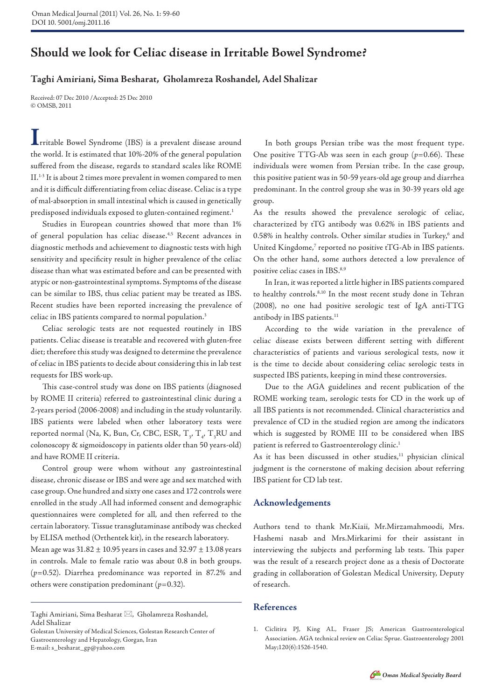## **Should we look for Celiac disease in Irritable Bowel Syndrome?**

## **Taghi Amiriani, Sima Besharat, Gholamreza Roshandel, Adel Shalizar**

Received: 07 Dec 2010 /Accepted: 25 Dec 2010 © OMSB, 2011

**I**rritable Bowel Syndrome (IBS) is a prevalent disease around the world. It is estimated that 10%-20% of the general population suffered from the disease, regards to standard scales like ROME II.1-3 It is about 2 times more prevalent in women compared to men and it is difficult differentiating from celiac disease. Celiac is a type of mal-absorption in small intestinal which is caused in genetically predisposed individuals exposed to gluten-contained regiment.<sup>1</sup>

Studies in European countries showed that more than 1% of general population has celiac disease.4,5 Recent advances in diagnostic methods and achievement to diagnostic tests with high sensitivity and specificity result in higher prevalence of the celiac disease than what was estimated before and can be presented with atypic or non-gastrointestinal symptoms. Symptoms of the disease can be similar to IBS, thus celiac patient may be treated as IBS. Recent studies have been reported increasing the prevalence of celiac in IBS patients compared to normal population.<sup>3</sup>

Celiac serologic tests are not requested routinely in IBS patients. Celiac disease is treatable and recovered with gluten-free diet; therefore this study was designed to determine the prevalence of celiac in IBS patients to decide about considering this in lab test requests for IBS work-up.

This case-control study was done on IBS patients (diagnosed by ROME II criteria) referred to gastrointestinal clinic during a 2-years period (2006-2008) and including in the study voluntarily. IBS patients were labeled when other laboratory tests were reported normal (Na, K, Bun, Cr, CBC, ESR,  $T_{3}$ ,  $T_{4}$ ,  $T_{3}$ RU and colonoscopy & sigmoidoscopy in patients older than 50 years-old) and have ROME II criteria.

Control group were whom without any gastrointestinal disease, chronic disease or IBS and were age and sex matched with case group. One hundred and sixty one cases and 172 controls were enrolled in the study .All had informed consent and demographic questionnaires were completed for all, and then referred to the certain laboratory. Tissue transglutaminase antibody was checked by ELISA method (Orthentek kit), in the research laboratory.

Mean age was  $31.82 \pm 10.95$  years in cases and  $32.97 \pm 13.08$  years in controls. Male to female ratio was about 0.8 in both groups. (*p*=0.52). Diarrhea predominance was reported in 87.2% and others were constipation predominant (*p*=0.32).

In both groups Persian tribe was the most frequent type. One positive TTG-Ab was seen in each group (*p*=0.66). These individuals were women from Persian tribe. In the case group, this positive patient was in 50-59 years-old age group and diarrhea predominant. In the control group she was in 30-39 years old age group.

As the results showed the prevalence serologic of celiac, characterized by tTG antibody was 0.62% in IBS patients and 0.58% in healthy controls. Other similar studies in Turkey,<sup>6</sup> and United Kingdome,<sup>7</sup> reported no positive tTG-Ab in IBS patients. On the other hand, some authors detected a low prevalence of positive celiac cases in IBS.8,9

In Iran, it was reported a little higher in IBS patients compared to healthy controls.<sup>8,10</sup> In the most recent study done in Tehran (2008), no one had positive serologic test of IgA anti-TTG antibody in IBS patients.<sup>11</sup>

According to the wide variation in the prevalence of celiac disease exists between different setting with different characteristics of patients and various serological tests, now it is the time to decide about considering celiac serologic tests in suspected IBS patients, keeping in mind these controversies.

Due to the AGA guidelines and recent publication of the ROME working team, serologic tests for CD in the work up of all IBS patients is not recommended. Clinical characteristics and prevalence of CD in the studied region are among the indicators which is suggested by ROME III to be considered when IBS patient is referred to Gastroenterology clinic.<sup>1</sup>

As it has been discussed in other studies,<sup>11</sup> physician clinical judgment is the cornerstone of making decision about referring IBS patient for CD lab test.

## **Acknowledgements**

Authors tend to thank Mr.Kiaii, Mr.Mirzamahmoodi, Mrs. Hashemi nasab and Mrs.Mirkarimi for their assistant in interviewing the subjects and performing lab tests. This paper was the result of a research project done as a thesis of Doctorate grading in collaboration of Golestan Medical University, Deputy of research.

## **References**

Taghi Amiriani, Sima Besharat  $\boxtimes$ , Gholamreza Roshandel, Adel Shalizar

Golestan University of Medical Sciences, Golestan Research Center of Gastroenterology and Hepatology, Gorgan, Iran E-mail: s\_besharat\_gp@yahoo.com

<sup>1.</sup> Ciclitira PJ, King AL, Fraser JS; American Gastroenterological Association. AGA technical review on Celiac Sprue. Gastroenterology 2001 May;120(6):1526-1540.